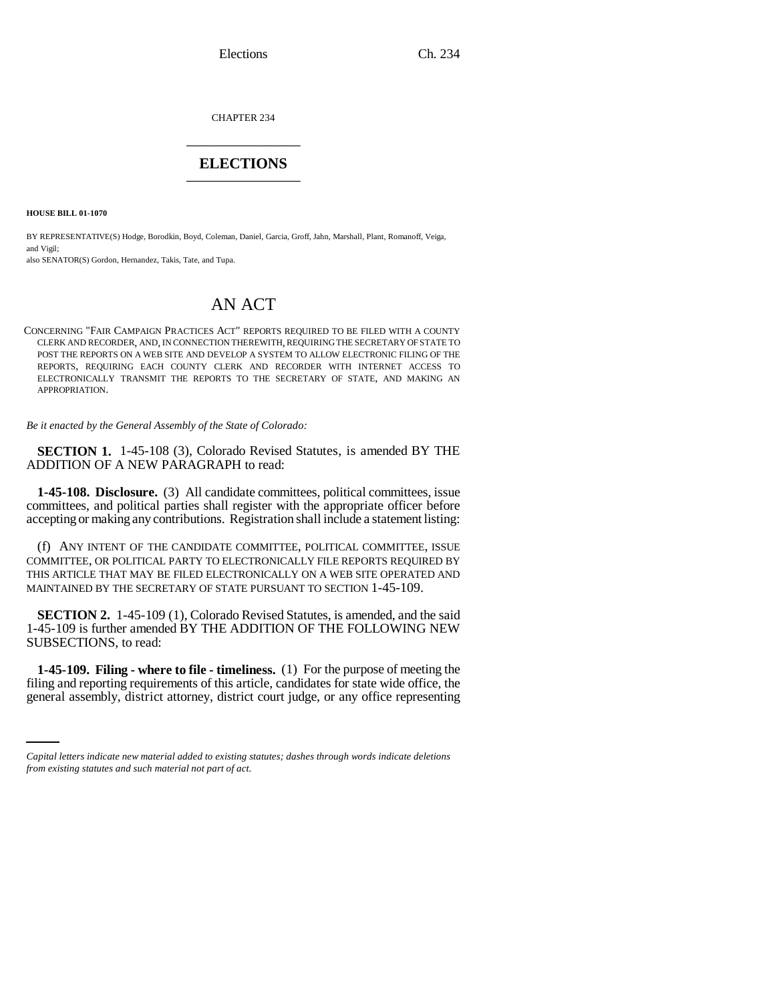Elections Ch. 234

CHAPTER 234 \_\_\_\_\_\_\_\_\_\_\_\_\_\_\_

## **ELECTIONS** \_\_\_\_\_\_\_\_\_\_\_\_\_\_\_

**HOUSE BILL 01-1070**

BY REPRESENTATIVE(S) Hodge, Borodkin, Boyd, Coleman, Daniel, Garcia, Groff, Jahn, Marshall, Plant, Romanoff, Veiga, and Vigil;

also SENATOR(S) Gordon, Hernandez, Takis, Tate, and Tupa.

## AN ACT

CONCERNING "FAIR CAMPAIGN PRACTICES ACT" REPORTS REQUIRED TO BE FILED WITH A COUNTY CLERK AND RECORDER, AND, IN CONNECTION THEREWITH, REQUIRING THE SECRETARY OF STATE TO POST THE REPORTS ON A WEB SITE AND DEVELOP A SYSTEM TO ALLOW ELECTRONIC FILING OF THE REPORTS, REQUIRING EACH COUNTY CLERK AND RECORDER WITH INTERNET ACCESS TO ELECTRONICALLY TRANSMIT THE REPORTS TO THE SECRETARY OF STATE, AND MAKING AN APPROPRIATION.

*Be it enacted by the General Assembly of the State of Colorado:*

**SECTION 1.** 1-45-108 (3), Colorado Revised Statutes, is amended BY THE ADDITION OF A NEW PARAGRAPH to read:

**1-45-108. Disclosure.** (3) All candidate committees, political committees, issue committees, and political parties shall register with the appropriate officer before accepting or making any contributions. Registration shall include a statement listing:

(f) ANY INTENT OF THE CANDIDATE COMMITTEE, POLITICAL COMMITTEE, ISSUE COMMITTEE, OR POLITICAL PARTY TO ELECTRONICALLY FILE REPORTS REQUIRED BY THIS ARTICLE THAT MAY BE FILED ELECTRONICALLY ON A WEB SITE OPERATED AND MAINTAINED BY THE SECRETARY OF STATE PURSUANT TO SECTION 1-45-109.

**SECTION 2.** 1-45-109 (1), Colorado Revised Statutes, is amended, and the said 1-45-109 is further amended BY THE ADDITION OF THE FOLLOWING NEW SUBSECTIONS, to read:

**filing and reporting requirements of this article, candidates for state wide office, the** filing and reporting requirements of this article, candidates for state wide office, the **1-45-109. Filing - where to file - timeliness.** (1) For the purpose of meeting the general assembly, district attorney, district court judge, or any office representing

*Capital letters indicate new material added to existing statutes; dashes through words indicate deletions from existing statutes and such material not part of act.*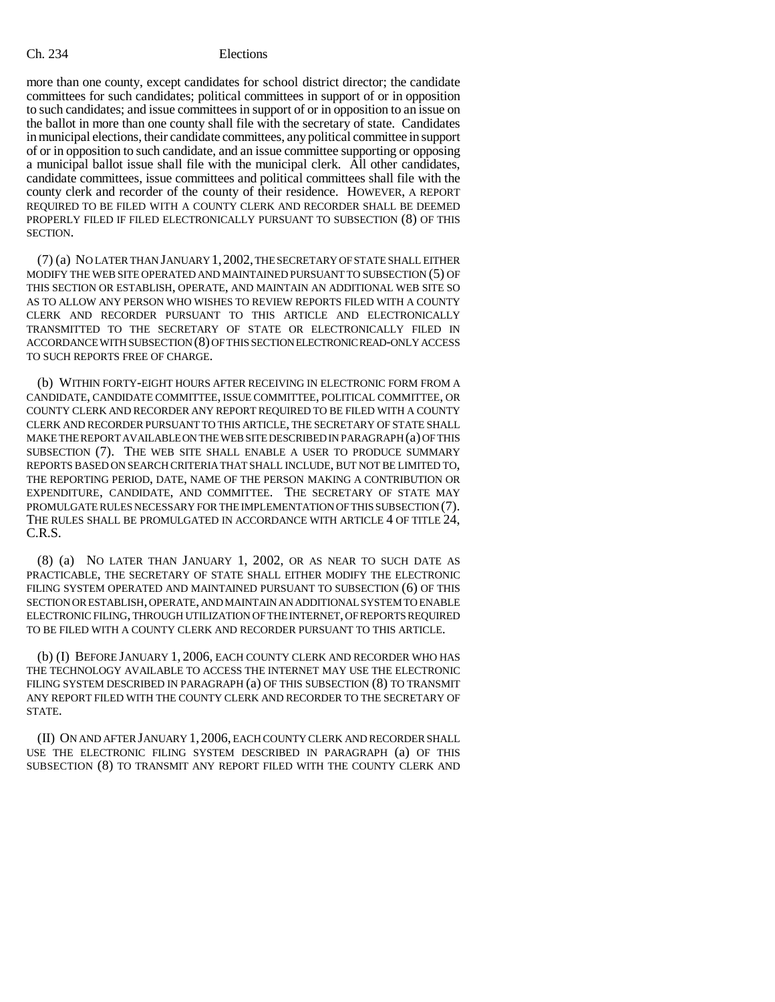## Ch. 234 Elections

more than one county, except candidates for school district director; the candidate committees for such candidates; political committees in support of or in opposition to such candidates; and issue committees in support of or in opposition to an issue on the ballot in more than one county shall file with the secretary of state. Candidates in municipal elections, their candidate committees, any political committee in support of or in opposition to such candidate, and an issue committee supporting or opposing a municipal ballot issue shall file with the municipal clerk. All other candidates, candidate committees, issue committees and political committees shall file with the county clerk and recorder of the county of their residence. HOWEVER, A REPORT REQUIRED TO BE FILED WITH A COUNTY CLERK AND RECORDER SHALL BE DEEMED PROPERLY FILED IF FILED ELECTRONICALLY PURSUANT TO SUBSECTION (8) OF THIS SECTION.

(7) (a) NO LATER THAN JANUARY 1,2002, THE SECRETARY OF STATE SHALL EITHER MODIFY THE WEB SITE OPERATED AND MAINTAINED PURSUANT TO SUBSECTION (5) OF THIS SECTION OR ESTABLISH, OPERATE, AND MAINTAIN AN ADDITIONAL WEB SITE SO AS TO ALLOW ANY PERSON WHO WISHES TO REVIEW REPORTS FILED WITH A COUNTY CLERK AND RECORDER PURSUANT TO THIS ARTICLE AND ELECTRONICALLY TRANSMITTED TO THE SECRETARY OF STATE OR ELECTRONICALLY FILED IN ACCORDANCE WITH SUBSECTION (8) OF THIS SECTION ELECTRONIC READ-ONLY ACCESS TO SUCH REPORTS FREE OF CHARGE.

(b) WITHIN FORTY-EIGHT HOURS AFTER RECEIVING IN ELECTRONIC FORM FROM A CANDIDATE, CANDIDATE COMMITTEE, ISSUE COMMITTEE, POLITICAL COMMITTEE, OR COUNTY CLERK AND RECORDER ANY REPORT REQUIRED TO BE FILED WITH A COUNTY CLERK AND RECORDER PURSUANT TO THIS ARTICLE, THE SECRETARY OF STATE SHALL MAKE THE REPORT AVAILABLE ON THE WEB SITE DESCRIBED IN PARAGRAPH (a) OF THIS SUBSECTION (7). THE WEB SITE SHALL ENABLE A USER TO PRODUCE SUMMARY REPORTS BASED ON SEARCH CRITERIA THAT SHALL INCLUDE, BUT NOT BE LIMITED TO, THE REPORTING PERIOD, DATE, NAME OF THE PERSON MAKING A CONTRIBUTION OR EXPENDITURE, CANDIDATE, AND COMMITTEE. THE SECRETARY OF STATE MAY PROMULGATE RULES NECESSARY FOR THE IMPLEMENTATION OF THIS SUBSECTION (7). THE RULES SHALL BE PROMULGATED IN ACCORDANCE WITH ARTICLE 4 OF TITLE 24, C.R.S.

(8) (a) NO LATER THAN JANUARY 1, 2002, OR AS NEAR TO SUCH DATE AS PRACTICABLE, THE SECRETARY OF STATE SHALL EITHER MODIFY THE ELECTRONIC FILING SYSTEM OPERATED AND MAINTAINED PURSUANT TO SUBSECTION (6) OF THIS SECTION OR ESTABLISH, OPERATE, AND MAINTAIN AN ADDITIONAL SYSTEM TO ENABLE ELECTRONIC FILING, THROUGH UTILIZATION OF THE INTERNET, OF REPORTS REQUIRED TO BE FILED WITH A COUNTY CLERK AND RECORDER PURSUANT TO THIS ARTICLE.

(b) (I) BEFORE JANUARY 1, 2006, EACH COUNTY CLERK AND RECORDER WHO HAS THE TECHNOLOGY AVAILABLE TO ACCESS THE INTERNET MAY USE THE ELECTRONIC FILING SYSTEM DESCRIBED IN PARAGRAPH (a) OF THIS SUBSECTION (8) TO TRANSMIT ANY REPORT FILED WITH THE COUNTY CLERK AND RECORDER TO THE SECRETARY OF STATE.

(II) ON AND AFTER JANUARY 1, 2006, EACH COUNTY CLERK AND RECORDER SHALL USE THE ELECTRONIC FILING SYSTEM DESCRIBED IN PARAGRAPH (a) OF THIS SUBSECTION (8) TO TRANSMIT ANY REPORT FILED WITH THE COUNTY CLERK AND